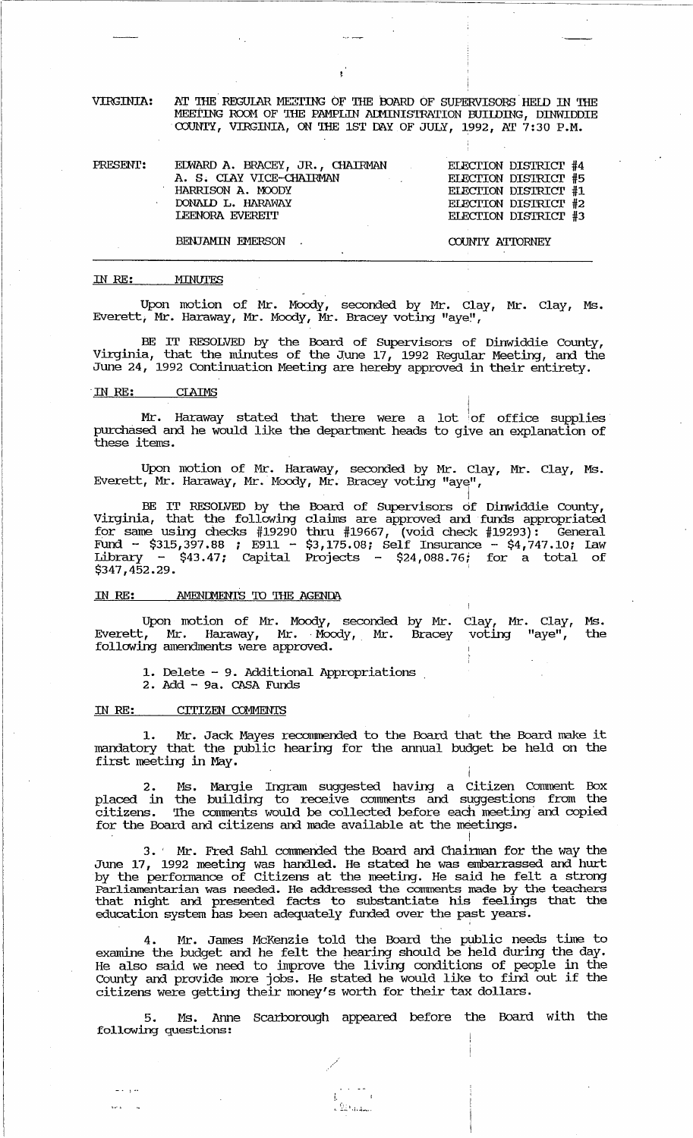VIRGINIA: AT THE REGULAR MEZTING OF THE BOARD OF SUPERVISORS HELD IN THE MEETING ROOM OF THE PAMPLIN ADMINISTRATION BUILDING, DINWIDDIE COUNTY, VIRGINIA, ON THE 1ST DAY OF JULY, 1992, AT 7:30 P.M.

| PRESENT: | EDWARD A. BRACEY, JR., CHAIRMAN<br>A. S. CLAY VICE-CHAIRMAN<br>$\mathcal{L}^{\text{max}}_{\text{max}}$ and $\mathcal{L}^{\text{max}}_{\text{max}}$ | ELECTION DISTRICT #4<br>ELECTION DISTRICT #5 |
|----------|----------------------------------------------------------------------------------------------------------------------------------------------------|----------------------------------------------|
|          | HARRISON A. MOODY                                                                                                                                  | ELECTION DISTRICT #1                         |
|          | DONALD L. HARAWAY                                                                                                                                  | ELECTION DISTRICT #2                         |
|          | LEENORA EVERETT                                                                                                                                    | ELECTION DISTRICT #3                         |
|          |                                                                                                                                                    |                                              |
|          | BENJAMIN FMERSON                                                                                                                                   | COUNTY ATTORNEY                              |

### IN *RE:* MINUTES

Upon motion of Mr. Moody, seconded by Mr. Clay, Mr. Clay, Ms. Everett, Mr. Haraway, Mr. Moody, Mr. Bracey voting "aye",

BE IT RESOLVED by the Board of Supervisors of Dinwiddie County, Virginia, that the minutes of the June 17, 1992 Regular Meeting, and the June 24, 1992 continuation Meet:ing are hereby approved in their entirety.

#### 'IN *RE:* CIAIMS

ide in the matrix of the stated that there were a lot of office supplies in the matrix  $\frac{1}{2}$  of office supplies purchased and he would like the department heads to give an explanation of these items.

Upon motion of Mr. Haraway, seconded by Mr. Clay, Mr. Clay, Ms. Everett, Mr. Haraway, Mr. Moody, Mr. Bracey voting "aye",

l. BE IT RESOLVED by the Board of supervisors of Dinwiddie County, Virginia, that the following claims are approved and funds appropriated for same using checks #19290 thru #19667, (void check #19293): General Fund - \$315,397.88 ; E911 - \$3,175.08; Self Insurance - \$4,747.10; Law Library -  $$43.47$ ; Capital Projects -  $$24,088.76$ ; for a total of \$347,452.29.

### IN RE: AMENIMENTS TO THE AGENDA

Upon motion of Mr. Moody, seconded by Mr. Clay, Mr. Clay, Ms. Everett, Mr. Haraway, Mr. Moody, Mr. Bracey voting "aye", the following amendments were approved.

1. Delete - 9. Additional Appropriations

2. Add - 9a. CASA Funds

# IN RE: CITIZEN COMMENTS

 $\mathbf{r}$ 

Mr. Jack Mayes recommended to the Board that the Board make it mandatory that the public hearing for the annual budget be held on the first meeting in May.

Ms. Margie Ingram suggested having a Citizen Comment Box placed in the building to receive comments and suggestions from the citizens. The comments would be collected before each meeting and copied The comments would be collected before each meeting and copied for the Board and citizens and made available at the meetings.

! 3.' Mr. Fred Sahl commended the Board and Chainnan for the way the June 17, 1992 meeting was handled. He stated he was embarrassed and hurt by the perfonnance of citizens at the meeting. He said he felt a strong Parliamentarian was needed. He addressed the comments made by the teachers that night and presented facts to substantiate his feel:ings that the education system has been adequately funded over the past years.

4. Mr. James McKenzie told the Board the public needs time to examine the budget and he felt the hearing should be held during the day. He also said we need to irnprove the living conditions of people in the County and provide more jobs. He stated he would like to find out if the citizens were getting their money's worth for their tax dollars.

5. Ms. Anne Scarborough appeared before the Board with the following questions:

 $\mathbb{R}^{11}$  ,  $\mathbb{L}$  ,  $\mathbb{L}$  , .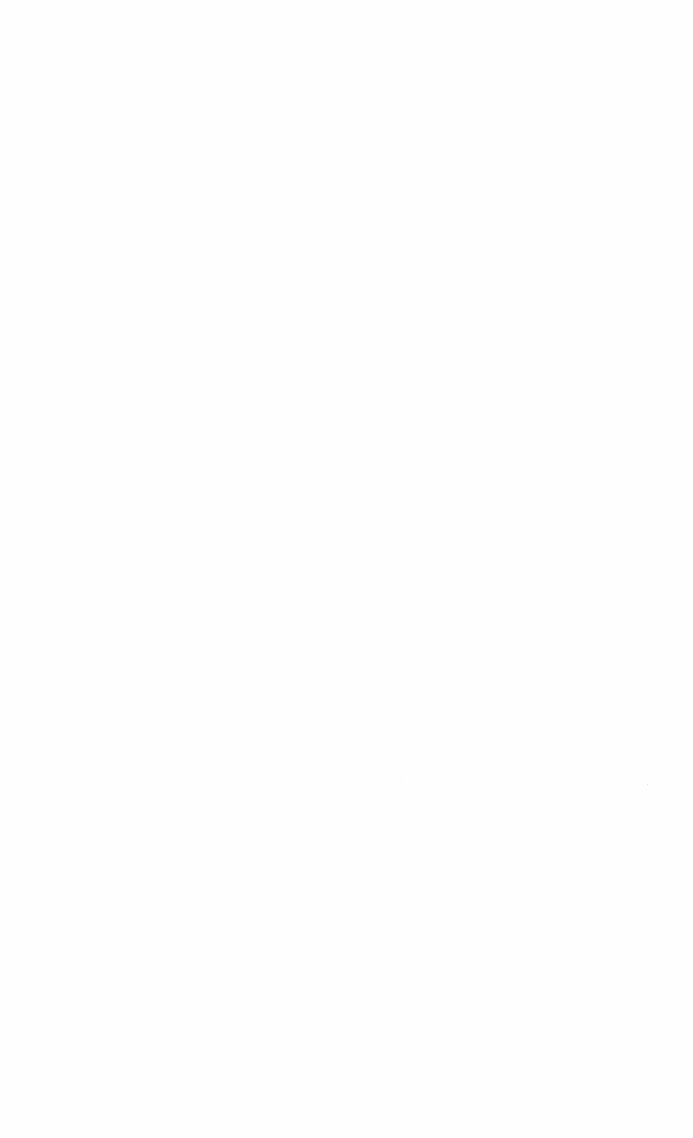$\label{eq:2.1} \frac{1}{\sqrt{2}}\int_{\mathbb{R}^3}\frac{1}{\sqrt{2}}\left(\frac{1}{\sqrt{2}}\right)^2\frac{1}{\sqrt{2}}\left(\frac{1}{\sqrt{2}}\right)^2\frac{1}{\sqrt{2}}\left(\frac{1}{\sqrt{2}}\right)^2.$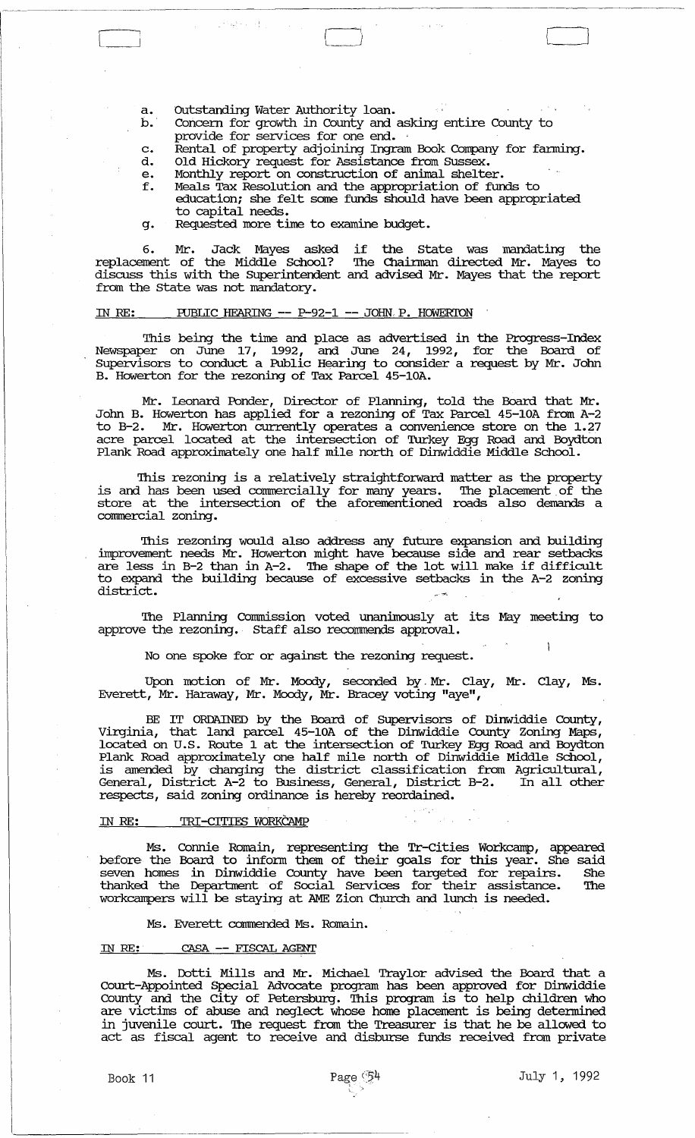- a. outstanding Water Authority loan.
- b. . Concern for growth in County and asking entire County to provide for services for one end. '

 $\Box$ 

- c. Rental of property adjoining Ingram Book Company for farming.<br>d. Old Hickory request for Assistance from Sussex.
- d. Old Hickory request for Assistance from SUssex.
- e. Monthly report on construction of animal shelter.<br>f. Meals Tax Resolution and the appropriation of fun f. Meals Tax Resolution and the appropriation of funds to education; she felt some funds should have been appropriated
	- to capital needs.
- g. Requested more time to examine budget.

6. Mr. Jack Mayes asked if the state was mandating the replacement of the Middle School? The Chairman directed Mr. Mayes to discuss this with the SUperintendent and advised Mr. Mayes that the report from the state was not mandatory.

# IN RE: PUBLIC HEARING -- P-92-1 -- JOHN P. HOWERION

This being the time and place as advertised in the Progress-Index Newspaper on June 17, 1992, and June 24, 1992, for the Board of Supervisors to conduct a Public Hearing to consider a request by Mr. John B. Howerton for the rezoning of Tax Parcel 45-10A.

Mr. Leonard Ponder, Director of Planning, told the Board that Mr. John B. Howerton has applied for a rezoning of Tax Parcel 45-10A from A-2 to B-2. Mr. Howerton currently operates a convenience store on the 1.27 acre parcel located at the intersection of Turkey Egg Road and Boydton Plank Road approximately one half mile north of Dinwiddie Middle School.

This rezoning is a relatively straightforward matter as the property is and has been used commercially for many years. The placement of the store at the intersection of the aforementioned roads also demands a commercial zoning.

This rezoning would also address any future expansion and building improvement needs Mr. Howerton might have because side and rear setbacks Improvement needs in . However, might have because share and fear seconds to expand the building because of excessive setbacks in the A-2 zoning district. .,~,

The Planning Commission voted unanimously at its May meeting to approve the rezoning. staff also recommends approval.

#### No one spoke for or against the rezoning request.

Upon motion of Mr. Moody, seconded by. Mr. Clay, Mr. Clay, Ms. Everett, Mr. Haraway, Mr. Moody, Mr. Bracey voting "aye",

BE IT ORDAINED by the Board of SUpervisors of Dinwiddie County, Virginia, that land parcel 45-10A of the Dinwiddie County Zoning Maps, located on U.S. Route 1 at the intersection of Turkey Egg Road and Boydton Plank Road approximately one half mile north of Dinwiddie Middle School, is amended by changing the district classification from Agricultural, General, District A-2 to Business, General, District B-2. In all other respects, said zoning ordinance is hereby reordained.

#### IN RE: TRI-CITIES WORKCAMP

Ms. Connie Romain, representing the Tr-Cities Workcamp, appeared before the Board to infonn them of their goals for this year. She said seven homes in Dinwiddie County have been targeted for repairs. She thanked the Department of Social services for their assistance. The workcampers will be staying at AME Zion Church and lunch is needed.

Ms. Everett commended Ms. Romain.

#### IN *RE:* CASA -- FISCAL AGENT

Ms. Dotti Mills and Mr. Michael Traylor advised the Board that a Court-Appointed Special Advocate program has been approved for Dinwiddie county and the City of Petersburg. This program is to help children who are victims of abuse and neglect whose home placement is being detennined in juvenile court. The request from the Treasurer is that he be allowed to act as fiscal agent to receive and disburse funds received from private

 $\mathbf{I}$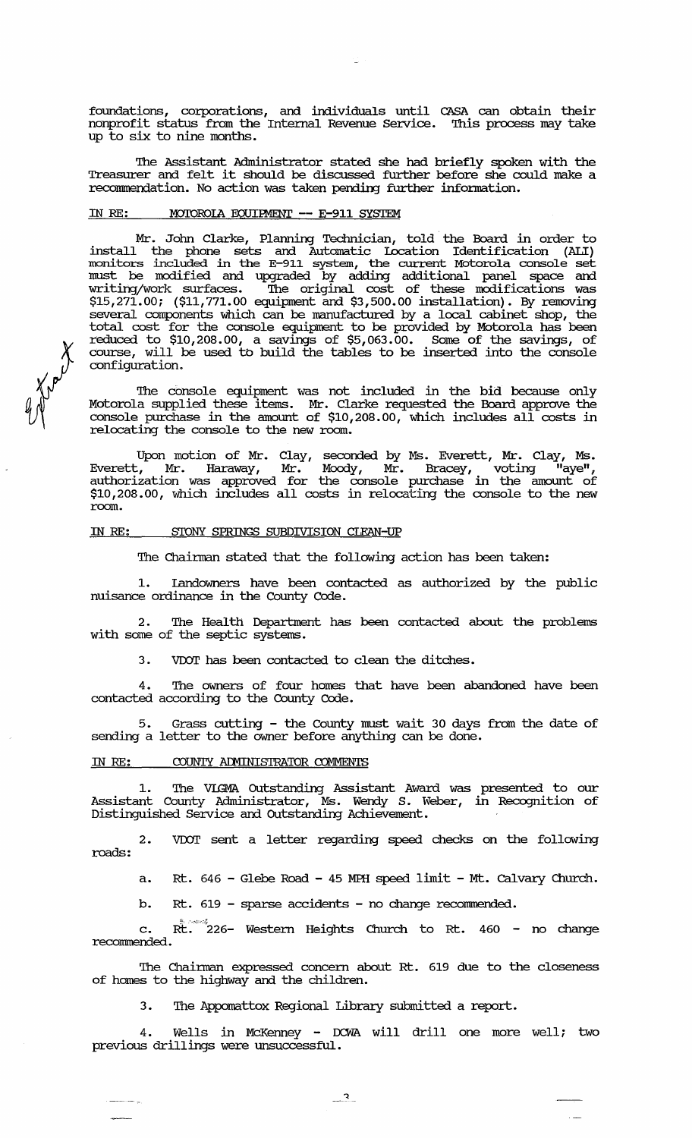foundations, corporations, and individuals until CASA can obtain their nonprofit status from the Internal Revenue Service. This process may take up to six to nine months.

'!he Assistant Administrator stated she had briefly spoken with the Treasurer and felt it should be discussed further before she could make a recommendation. No action was taken pending further information.

### IN RE: MOTOROIA FOUTPMENT -- E-911 SYSTEM

Mr. John Clarke, Planning Technician, told the Board in order to install the phone sets and Automatic Iocation Identification (ALI) monitors included in the E-911 system, the current Motorola console set must be modified and upgraded by adding additional panel space and writing/work surfaces. '!he original cost of these modifications was \$15,271.00; (\$11,771.00 equipment and \$3,500.00 installation). *By* removing several components which can be manufactured by a local cabinet shop, the total cost for the console equipment to be provided by Motorola has been reduced to \$10,208.00, a savings of \$5,063.00. Some of the savings, of course, will be used to build the tables to be inserted into the console configuration.

The console equipment was not included in the bid because only Motorola supplied these items. Mr. Clarke requested the Board approve the console purchase in the amount of \$10,208.00, which includes all costs in relocating the console to the new room.

Upon motion of Mr. Clay, seconded by Ms. Everett, Mr. Clay, Ms. Everett, Mr. Haraway, Mr. Moody, Mr. Bracey, voting "aye", authorization was approved for the console purchase in the amount of \$10,208.00, which includes all costs in relocating the console to the new room.

## IN RE: STONY SPRINGS SUBDIVISION CLEAN-UP

The Chairman stated that the following action has been taken:

1. Landowners have been contacted as authorized by the public nuisance ordinance in the County Code.

2. The Health Department has been contacted about the problems with some of the septic systems.

3. VDOT has been contacted to clean the ditches.

4. The owners of four homes that have been abandoned have been contacted according to the COunty Code.

5. Grass cutting - the County must wait 30 days from the date of sending a letter to the owner before anything can be done.

## IN RE: COUNTY ADMINISTRATOR COMMENTS

1. The VIGMA outstanding Assistant Award was presented to our Assistant County Administrator, Ms. Wendy S. Weber, in Recognition of Distinguished Service and outstanding Achievement.

2. VDOT sent a letter regarding speed checks on the following roads:

a. Rt. 646 - Glebe Road - 45 MPH speed limit - Mt. Calvary Church.

b. Rt. 619 - sparse accidents - no change recommended.

c. Rt. 226- Western Heights Church to Rt. 460 - no change recommended.

The Chairman expressed concern about Rt. 619 due to the closeness of homes to the highway and the children.

3. The Appomattox Regional Library submitted a report.

4. Wells in McKenney - OCWA will drill one more well; two previous drillings were unsuccessful.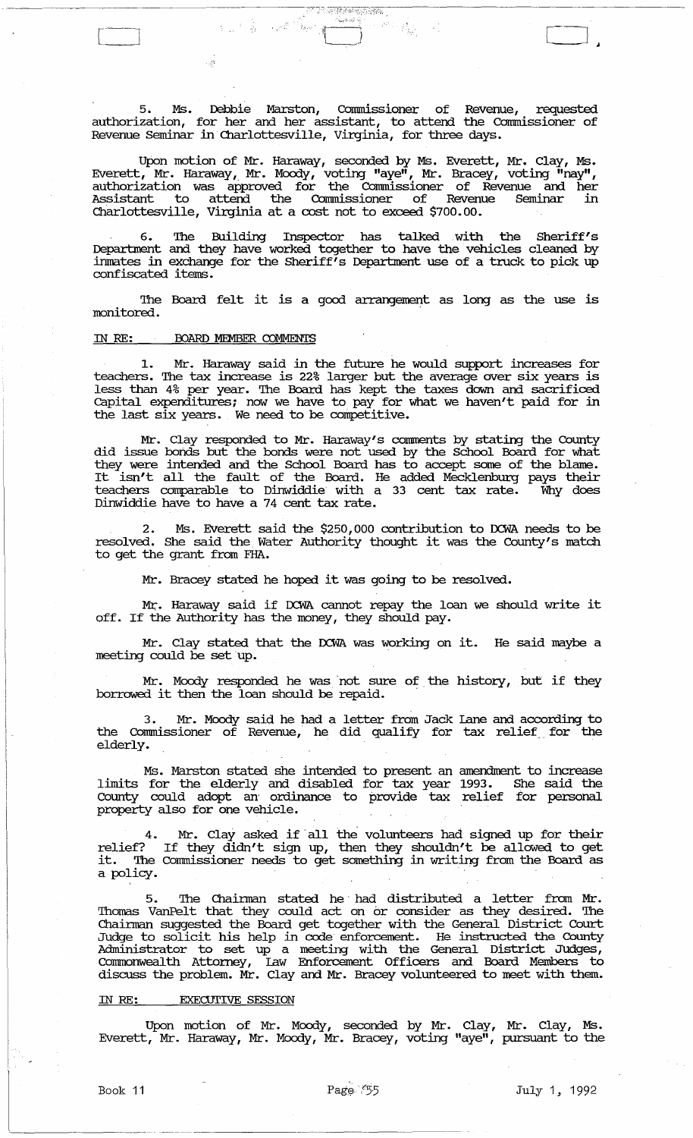5. Ms. Debbie Marston, Conunissioner of Revenue, requested authorization, for her and her assistant, to attend the Connnissioner of Revenue seminar in' Charlottesville, virginia, for three days.

经正式第二次费

 $\tilde{\chi}_{\rm S, \infty}$  :

 $\label{eq:2} \begin{array}{c} \mathbb{E}[\mathcal{E}_{\text{max}}] \\ \mathbb{E}[\mathcal{E}_{\text{max}}] \end{array}$ 

- 41

 $\mathcal{O}_{2}$  .

Upon motion of Mr. Haraway, seconded by Ms. Everett, Mr. Clay, Ms. Everett, Mr. Haraway, Mr. Moody, voting "aye", Mr. Bracey, voting "nay", authorization was approved for the Conunissioner of Revenue and her Assistant to attend the Connnissioner of Revenue seminar in Charlottesville, Virginia at a cost not to exceed \$700.00.

6. The Building Inspector has talked with the Sheriff's Department and they have worked together to have the vehicles cleaned by inmates in exchange for the Sheriff's Department use of a truck to pick up confiscated items.

The Board felt it is a good arrangement as long as the use is monitored.

### IN RE: BOARD MEMBER COMMENTS

1. Mr. Haraway said in the future he would support increases for teachers. The tax increase is 22% larger but the average over six years is less than 4% per year. '!he Board has kept the taxes down and sacrificed Capital expenditures; now we have to pay for what we haven't paid for in the last six years. We need to be competitive.

Mr. Clay responded to Mr. Haraway's comments by stating the County did issue bonds but the bonds were not used by the School Board for what they were intended and the School Board has to accept some of the blame. Liey were interfact and the School Doard has to accept some of the brane.<br>It isn't all the fault of the Board. He added Mecklenburg pays their teachers comparable to Dinwiddie with a 33 cent tax rate. Why does Dinwiddie have to have a 74 cent tax rate.

2. Ms. Everett said the \$250,000 contribution to DCWA needs to be resolved. She said the Water Authority thought it was the County's match to get the grant from FHA.

Mr. Bracey stated he hoped it was going to be resolved.

Mr. Haraway said if OCWA cannot repay the loan we should write it off. If the Authority has the money, they should pay.

Mr. Clay stated that the OCWA was working on it. He said maybe a meeting could be set up.

Mr. Moody responded he was not sure of the history, but if they borrowed it then the loan should be repaid.

3. Mr. Moody said he had a letter from Jack lane and according to the Commissioner of Revenue, he did qualify for tax relief for the elderly.

Ms. Marston stated she intended to present an amendment to increase limits for the elderly and disabled for tax year 1993. She said the county could adopt an' ordinance to provide tax relief for personal property also for one vehicle.

4. Mr. Clay asked if all the volunteers had signed up for their relief? If they didn't sign up, then they shouldn't be allowed to get it. '!he Commissioner needs to get something in writing from the Board as a policy.

5. The Chairman stated he had distributed a letter from Mr. '!homas VanPelt that they could act on or consider as they desired. '!he Chainnan suggested the Board get together with the General District Court Judge to solicit his help in code enforcement. He instructed the County Administrator to set up a meeting with the General District Judges, Connnonwealth Attorney, law Enforcement Officers and Board Members to discuss the problem. Mr. Clay and Mr. Bracey volunteered to meet with them.

#### IN RE: EXECUTIVE SESSION

Upon motion of Mr. Moody, seconded by Mr. Clay, Mr. Clay, Ms. <u>IN RE: EXECUTIVE SESSION</u><br>Upon motion of Mr. Moody, seconded by Mr. Clay, Mr. Clay, Ms.<br>Everett, Mr. Haraway, Mr. Moody, Mr. Bracey, voting "aye", pursuant to the